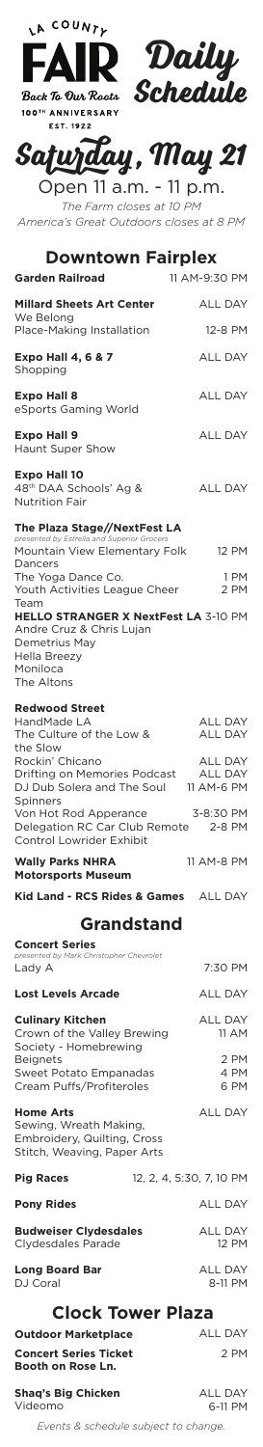

| Safuzday, May 21       |  |
|------------------------|--|
| Open 11 a.m. - 11 p.m. |  |

*The Farm closes at 10 PM America's Great Outdoors closes at 8 PM*

11 AM-8 PM

| <b>Downtown Fairplex</b><br><b>Garden Railroad</b>                                                                                         | 11 AM-9:30 PM                                  |
|--------------------------------------------------------------------------------------------------------------------------------------------|------------------------------------------------|
|                                                                                                                                            |                                                |
| <b>Millard Sheets Art Center</b><br>We Belong                                                                                              | <b>ALL DAY</b>                                 |
| Place-Making Installation                                                                                                                  | 12-8 PM                                        |
| <b>Expo Hall 4, 6 &amp; 7</b><br>Shopping                                                                                                  | <b>ALL DAY</b>                                 |
| <b>Expo Hall 8</b><br>eSports Gaming World                                                                                                 | <b>ALL DAY</b>                                 |
| <b>Expo Hall 9</b><br><b>Haunt Super Show</b>                                                                                              | <b>ALL DAY</b>                                 |
| <b>Expo Hall 10</b><br>48th DAA Schools' Ag &<br><b>Nutrition Fair</b>                                                                     | <b>ALL DAY</b>                                 |
| The Plaza Stage//NextFest LA                                                                                                               |                                                |
| presented by Estrella and Superior Grocers<br>Mountain View Elementary Folk                                                                | 12 PM                                          |
| Dancers                                                                                                                                    | 1 PM                                           |
| The Yoga Dance Co.<br>Youth Activities League Cheer                                                                                        | 2 PM                                           |
| Team<br>HELLO STRANGER X NextFest LA 3-10 PM<br>Andre Cruz & Chris Lujan<br>Demetrius May<br><b>Hella Breezy</b><br>Moniloca<br>The Altons |                                                |
| <b>Redwood Street</b>                                                                                                                      |                                                |
| HandMade LA<br>The Culture of the Low &                                                                                                    | <b>ALL DAY</b><br>ALL DAY                      |
| the Slow                                                                                                                                   |                                                |
| Rockin' Chicano<br>Drifting on Memories Podcast<br>DJ Dub Solera and The Soul                                                              | <b>ALL DAY</b><br><b>ALL DAY</b><br>11 AM-6 PM |

3-8:30 PM Delegation RC Car Club Remote 2-8 PM Spinners Von Hot Rod Apperance Control Lowrider Exhibit

## **Wally Parks NHRA Motorsports Museum**

Kid Land - RCS Rides & Games ALL DAY

## **Grandstand**

| <b>Concert Series</b><br>presented by Mark Christopher Chevrolet |                         |
|------------------------------------------------------------------|-------------------------|
| Lady A                                                           | 7:30 PM                 |
| <b>Lost Levels Arcade</b>                                        | <b>ALL DAY</b>          |
| <b>Culinary Kitchen</b><br>Crown of the Valley Brewing           | <b>ALL DAY</b><br>11 AM |
| Society - Homebrewing                                            |                         |
| <b>Beignets</b>                                                  | 2 PM                    |
| Sweet Potato Empanadas                                           | 4 PM                    |
| Cream Puffs/Profiteroles                                         | 6 PM                    |

| <b>Home Arts</b><br>Sewing, Wreath Making,<br>Embroidery, Quilting, Cross<br>Stitch, Weaving, Paper Arts | <b>ALL DAY</b>                       |  |  |
|----------------------------------------------------------------------------------------------------------|--------------------------------------|--|--|
| <b>Pig Races</b>                                                                                         | 12, 2, 4, 5:30, 7, 10 PM             |  |  |
| <b>Pony Rides</b>                                                                                        | <b>ALL DAY</b>                       |  |  |
| <b>Budweiser Clydesdales</b><br>Clydesdales Parade                                                       | ALL DAY<br>12 PM                     |  |  |
| <b>Long Board Bar</b><br>DJ Coral                                                                        | ALL DAY<br>8-11 PM                   |  |  |
| <b>Clock Tower Plaza</b>                                                                                 |                                      |  |  |
| <b>Outdoor Marketplace</b>                                                                               | <b>ALL DAY</b>                       |  |  |
| <b>Concert Series Ticket</b><br><b>Booth on Rose Ln.</b>                                                 | 2 PM                                 |  |  |
| <b>Shaq's Big Chicken</b><br>Videomo                                                                     | ALL DAY<br>6-11 PM                   |  |  |
|                                                                                                          | Events & schedule subject to change. |  |  |